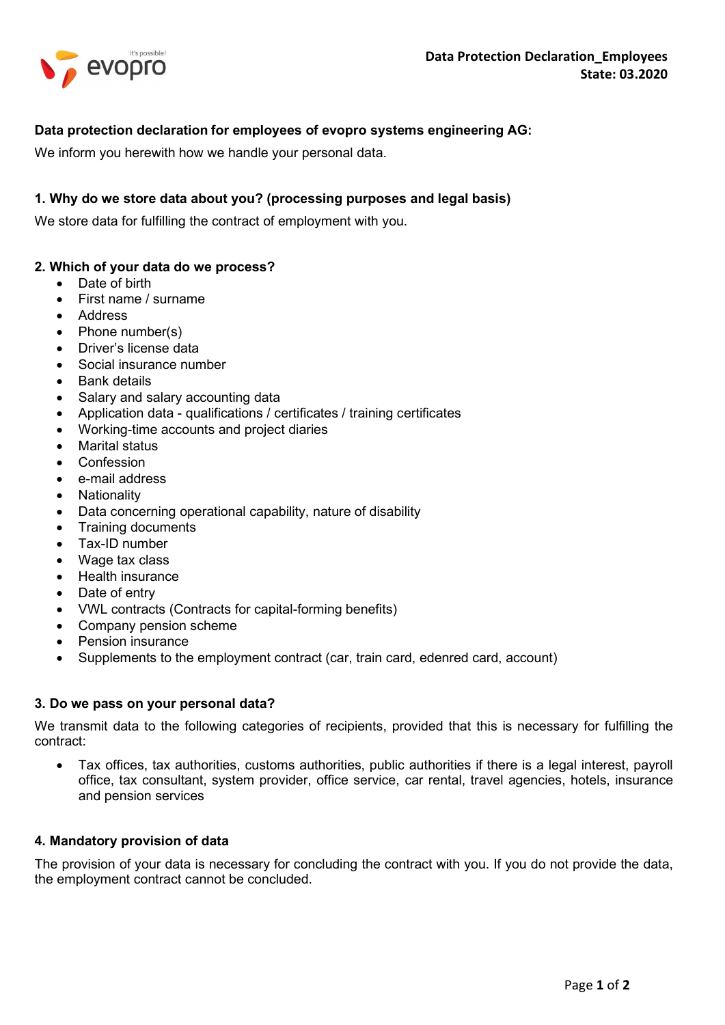

# Data protection declaration for employees of evopro systems engineering AG:

We inform you herewith how we handle your personal data.

# 1. Why do we store data about you? (processing purposes and legal basis)

We store data for fulfilling the contract of employment with you.

# 2. Which of your data do we process?

- Date of birth
- First name / surname
- Address
- $\bullet$  Phone number(s)
- Driver's license data
- Social insurance number
- Bank details
- Salary and salary accounting data
- Application data qualifications / certificates / training certificates
- Working-time accounts and project diaries
- Marital status
- Confession
- e-mail address
- Nationality
- Data concerning operational capability, nature of disability
- Training documents
- Tax-ID number
- Wage tax class
- Health insurance
- Date of entry
- VWL contracts (Contracts for capital-forming benefits)
- Company pension scheme
- Pension insurance
- Supplements to the employment contract (car, train card, edenred card, account)

### 3. Do we pass on your personal data?

We transmit data to the following categories of recipients, provided that this is necessary for fulfilling the contract:

 Tax offices, tax authorities, customs authorities, public authorities if there is a legal interest, payroll office, tax consultant, system provider, office service, car rental, travel agencies, hotels, insurance and pension services

### 4. Mandatory provision of data

The provision of your data is necessary for concluding the contract with you. If you do not provide the data, the employment contract cannot be concluded.